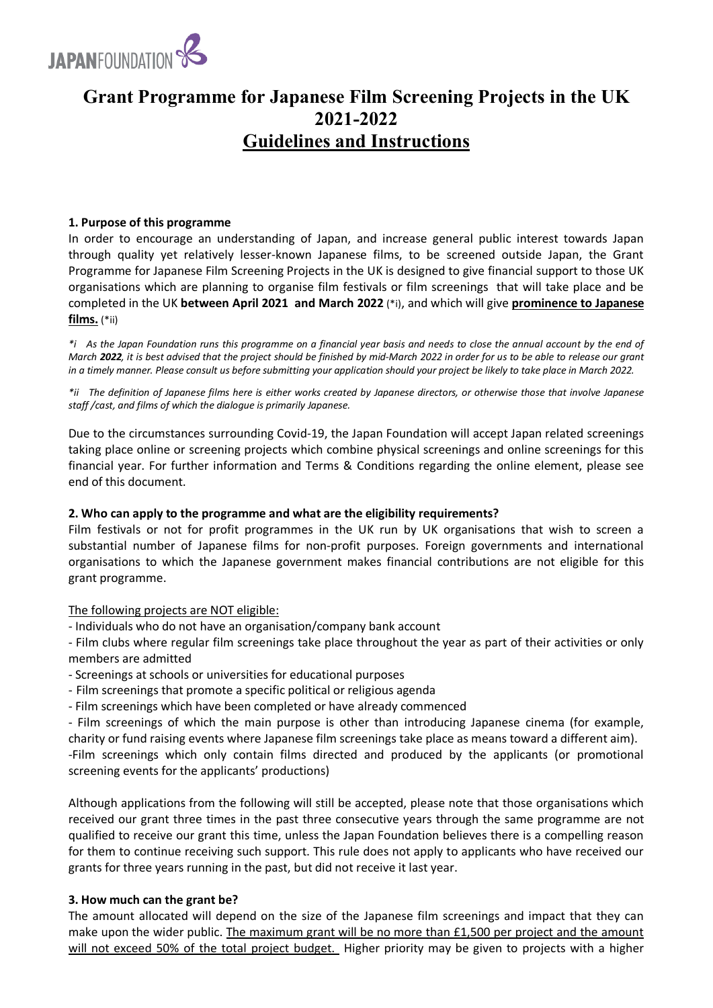

## **Grant Programme for Japanese Film Screening Projects in the UK 2021-2022 Guidelines and Instructions**

## **1. Purpose of this programme**

In order to encourage an understanding of Japan, and increase general public interest towards Japan through quality yet relatively lesser-known Japanese films, to be screened outside Japan, the Grant Programme for Japanese Film Screening Projects in the UK is designed to give financial support to those UK organisations which are planning to organise film festivals or film screenings that will take place and be completed in the UK **between April 2021 and March 2022** (\*i), and which will give **prominence to Japanese films.** (\*ii)

*\*i As the Japan Foundation runs this programme on a financial year basis and needs to close the annual account by the end of March 2022, it is best advised that the project should be finished by mid-March 2022 in order for us to be able to release our grant in a timely manner. Please consult us before submitting your application should your project be likely to take place in March 2022.*

*\*ii The definition of Japanese films here is either works created by Japanese directors, or otherwise those that involve Japanese staff /cast, and films of which the dialogue is primarily Japanese.*

Due to the circumstances surrounding Covid-19, the Japan Foundation will accept Japan related screenings taking place online or screening projects which combine physical screenings and online screenings for this financial year. For further information and Terms & Conditions regarding the online element, please see end of this document.

### **2. Who can apply to the programme and what are the eligibility requirements?**

Film festivals or not for profit programmes in the UK run by UK organisations that wish to screen a substantial number of Japanese films for non-profit purposes. Foreign governments and international organisations to which the Japanese government makes financial contributions are not eligible for this grant programme.

The following projects are NOT eligible:

- Individuals who do not have an organisation/company bank account

- Film clubs where regular film screenings take place throughout the year as part of their activities or only members are admitted

- Screenings at schools or universities for educational purposes
- Film screenings that promote a specific political or religious agenda
- Film screenings which have been completed or have already commenced

- Film screenings of which the main purpose is other than introducing Japanese cinema (for example, charity or fund raising events where Japanese film screenings take place as means toward a different aim).

-Film screenings which only contain films directed and produced by the applicants (or promotional screening events for the applicants' productions)

Although applications from the following will still be accepted, please note that those organisations which received our grant three times in the past three consecutive years through the same programme are not qualified to receive our grant this time, unless the Japan Foundation believes there is a compelling reason for them to continue receiving such support. This rule does not apply to applicants who have received our grants for three years running in the past, but did not receive it last year.

## **3. How much can the grant be?**

The amount allocated will depend on the size of the Japanese film screenings and impact that they can make upon the wider public. The maximum grant will be no more than £1,500 per project and the amount will not exceed 50% of the total project budget. Higher priority may be given to projects with a higher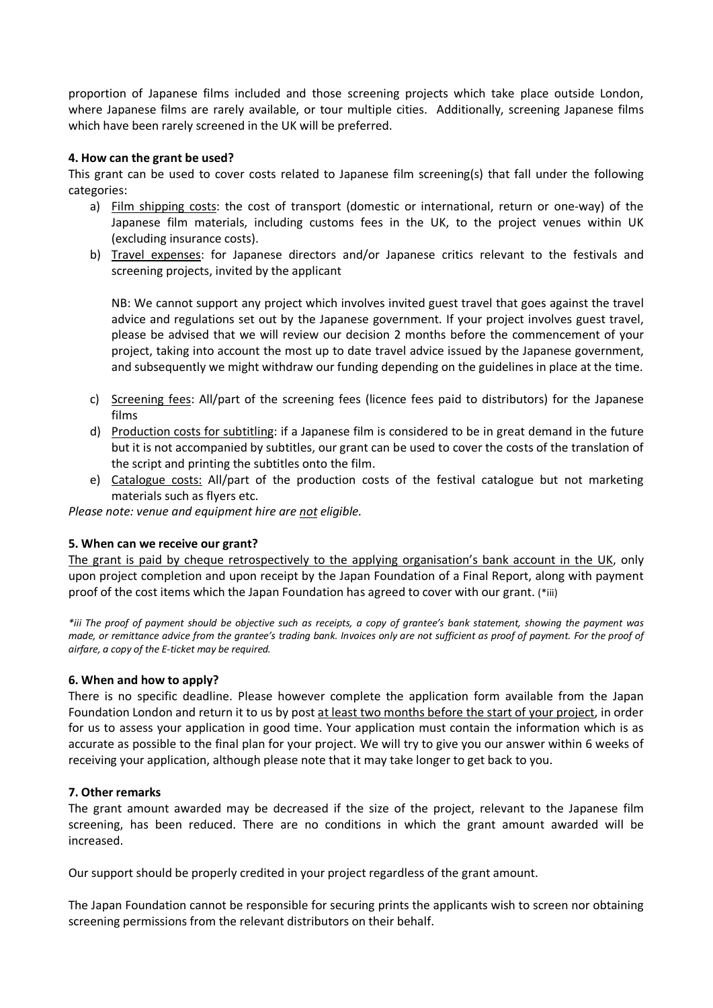proportion of Japanese films included and those screening projects which take place outside London, where Japanese films are rarely available, or tour multiple cities. Additionally, screening Japanese films which have been rarely screened in the UK will be preferred.

## **4. How can the grant be used?**

This grant can be used to cover costs related to Japanese film screening(s) that fall under the following categories:

- a) Film shipping costs: the cost of transport (domestic or international, return or one-way) of the Japanese film materials, including customs fees in the UK, to the project venues within UK (excluding insurance costs).
- b) Travel expenses: for Japanese directors and/or Japanese critics relevant to the festivals and screening projects, invited by the applicant

NB: We cannot support any project which involves invited guest travel that goes against the travel advice and regulations set out by the Japanese government. If your project involves guest travel, please be advised that we will review our decision 2 months before the commencement of your project, taking into account the most up to date travel advice issued by the Japanese government, and subsequently we might withdraw our funding depending on the guidelines in place at the time.

- c) Screening fees: All/part of the screening fees (licence fees paid to distributors) for the Japanese films
- d) Production costs for subtitling: if a Japanese film is considered to be in great demand in the future but it is not accompanied by subtitles, our grant can be used to cover the costs of the translation of the script and printing the subtitles onto the film.
- e) Catalogue costs: All/part of the production costs of the festival catalogue but not marketing materials such as flyers etc.

*Please note: venue and equipment hire are not eligible.*

### **5. When can we receive our grant?**

The grant is paid by cheque retrospectively to the applying organisation's bank account in the UK, only upon project completion and upon receipt by the Japan Foundation of a Final Report, along with payment proof of the cost items which the Japan Foundation has agreed to cover with our grant. (\*iii)

*\*iii The proof of payment should be objective such as receipts, a copy of grantee's bank statement, showing the payment was made, or remittance advice from the grantee's trading bank. Invoices only are not sufficient as proof of payment. For the proof of airfare, a copy of the E-ticket may be required.*

### **6. When and how to apply?**

There is no specific deadline. Please however complete the application form available from the Japan Foundation London and return it to us by post at least two months before the start of your project, in order for us to assess your application in good time. Your application must contain the information which is as accurate as possible to the final plan for your project. We will try to give you our answer within 6 weeks of receiving your application, although please note that it may take longer to get back to you.

### **7. Other remarks**

The grant amount awarded may be decreased if the size of the project, relevant to the Japanese film screening, has been reduced. There are no conditions in which the grant amount awarded will be increased.

Our support should be properly credited in your project regardless of the grant amount.

The Japan Foundation cannot be responsible for securing prints the applicants wish to screen nor obtaining screening permissions from the relevant distributors on their behalf.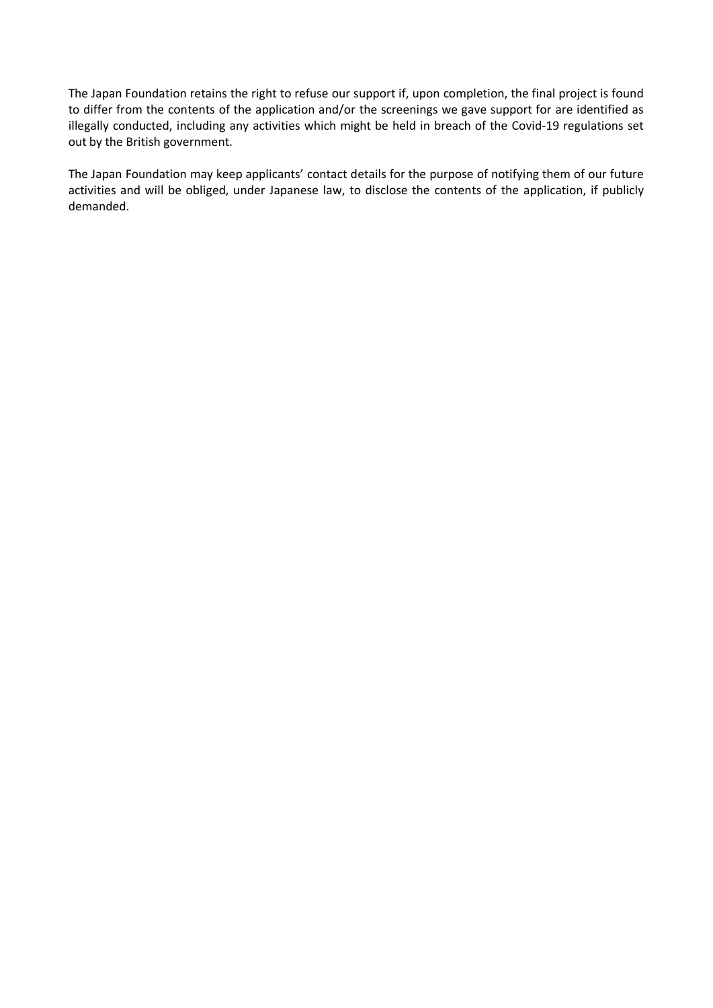The Japan Foundation retains the right to refuse our support if, upon completion, the final project is found to differ from the contents of the application and/or the screenings we gave support for are identified as illegally conducted, including any activities which might be held in breach of the Covid-19 regulations set out by the British government.

The Japan Foundation may keep applicants' contact details for the purpose of notifying them of our future activities and will be obliged, under Japanese law, to disclose the contents of the application, if publicly demanded.